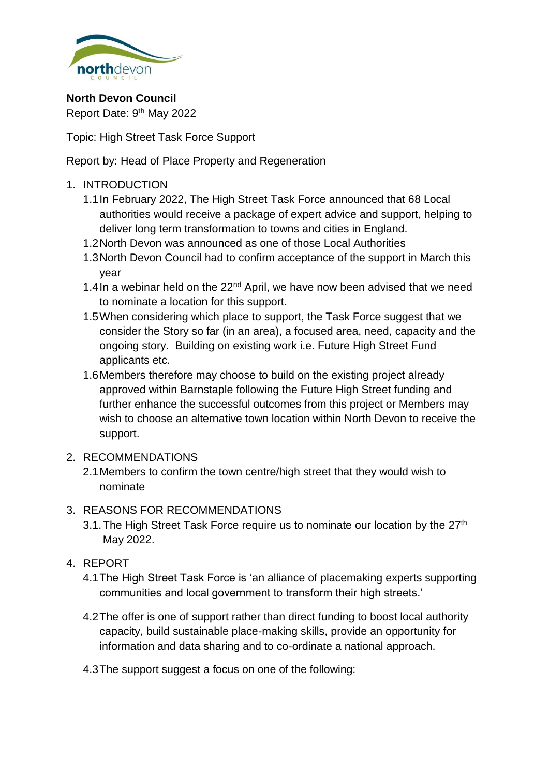

**North Devon Council** Report Date: 9<sup>th</sup> May 2022

Topic: High Street Task Force Support

Report by: Head of Place Property and Regeneration

# 1. INTRODUCTION

- 1.1In February 2022, The High Street Task Force announced that 68 Local authorities would receive a package of expert advice and support, helping to deliver long term transformation to towns and cities in England.
- 1.2North Devon was announced as one of those Local Authorities
- 1.3North Devon Council had to confirm acceptance of the support in March this year
- 1.4 In a webinar held on the  $22<sup>nd</sup>$  April, we have now been advised that we need to nominate a location for this support.
- 1.5When considering which place to support, the Task Force suggest that we consider the Story so far (in an area), a focused area, need, capacity and the ongoing story. Building on existing work i.e. Future High Street Fund applicants etc.
- 1.6Members therefore may choose to build on the existing project already approved within Barnstaple following the Future High Street funding and further enhance the successful outcomes from this project or Members may wish to choose an alternative town location within North Devon to receive the support.

## 2. RECOMMENDATIONS

- 2.1Members to confirm the town centre/high street that they would wish to nominate
- 3. REASONS FOR RECOMMENDATIONS
	- 3.1. The High Street Task Force require us to nominate our location by the  $27<sup>th</sup>$ May 2022.

# 4. REPORT

- 4.1The High Street Task Force is 'an alliance of placemaking experts supporting communities and local government to transform their high streets.'
- 4.2The offer is one of support rather than direct funding to boost local authority capacity, build sustainable place-making skills, provide an opportunity for information and data sharing and to co-ordinate a national approach.
- 4.3The support suggest a focus on one of the following: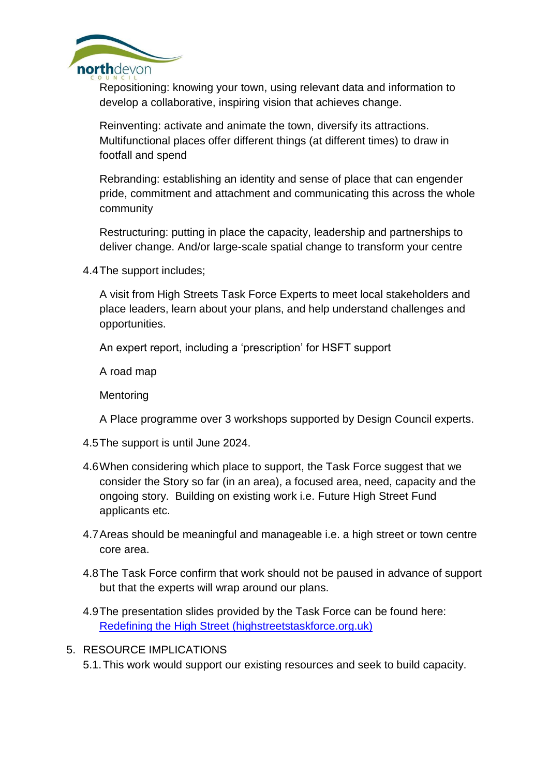

Repositioning: knowing your town, using relevant data and information to develop a collaborative, inspiring vision that achieves change.

Reinventing: activate and animate the town, diversify its attractions. Multifunctional places offer different things (at different times) to draw in footfall and spend

Rebranding: establishing an identity and sense of place that can engender pride, commitment and attachment and communicating this across the whole community

Restructuring: putting in place the capacity, leadership and partnerships to deliver change. And/or large-scale spatial change to transform your centre

4.4The support includes;

A visit from High Streets Task Force Experts to meet local stakeholders and place leaders, learn about your plans, and help understand challenges and opportunities.

An expert report, including a 'prescription' for HSFT support

A road map

**Mentoring** 

A Place programme over 3 workshops supported by Design Council experts.

- 4.5The support is until June 2024.
- 4.6When considering which place to support, the Task Force suggest that we consider the Story so far (in an area), a focused area, need, capacity and the ongoing story. Building on existing work i.e. Future High Street Fund applicants etc.
- 4.7Areas should be meaningful and manageable i.e. a high street or town centre core area.
- 4.8The Task Force confirm that work should not be paused in advance of support but that the experts will wrap around our plans.
- 4.9The presentation slides provided by the Task Force can be found here: [Redefining the High Street \(highstreetstaskforce.org.uk\)](https://www.highstreetstaskforce.org.uk/media/5hgkilgg/hstf_la_induction_webinar_slides-2022.pdf)
- 5. RESOURCE IMPLICATIONS

5.1.This work would support our existing resources and seek to build capacity.